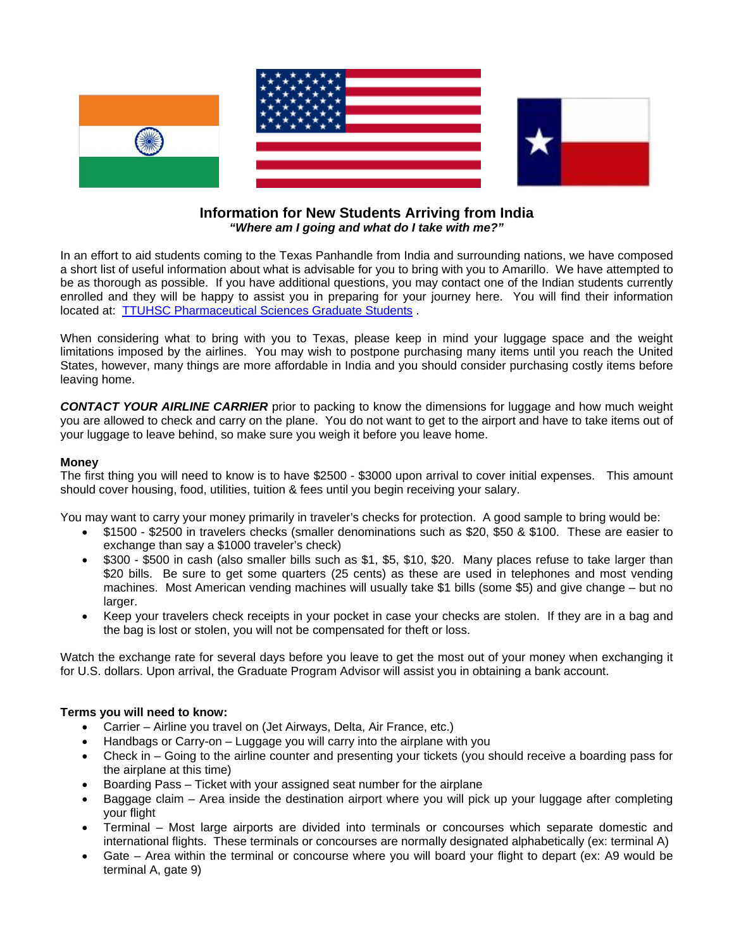

## **Information for New Students Arriving from India**  *"Where am I going and what do I take with me?"*

In an effort to aid students coming to the Texas Panhandle from India and surrounding nations, we have composed a short list of useful information about what is advisable for you to bring with you to Amarillo. We have attempted to be as thorough as possible. If you have additional questions, you may contact one of the Indian students currently enrolled and they will be happy to assist you in preparing for your journey here. You will find their information located at: [TTUHSC Pharmaceutical Sciences Graduate Students](http://www.ttuhsc.edu/sop/Directory/faculty.aspx?DeptCode=3&ClassCode=10) .

When considering what to bring with you to Texas, please keep in mind your luggage space and the weight limitations imposed by the airlines. You may wish to postpone purchasing many items until you reach the United States, however, many things are more affordable in India and you should consider purchasing costly items before leaving home.

*CONTACT YOUR AIRLINE CARRIER* prior to packing to know the dimensions for luggage and how much weight you are allowed to check and carry on the plane. You do not want to get to the airport and have to take items out of your luggage to leave behind, so make sure you weigh it before you leave home.

## **Money**

The first thing you will need to know is to have \$2500 - \$3000 upon arrival to cover initial expenses. This amount should cover housing, food, utilities, tuition & fees until you begin receiving your salary.

You may want to carry your money primarily in traveler's checks for protection. A good sample to bring would be:

- \$1500 \$2500 in travelers checks (smaller denominations such as \$20, \$50 & \$100. These are easier to exchange than say a \$1000 traveler's check)
- \$300 \$500 in cash (also smaller bills such as \$1, \$5, \$10, \$20. Many places refuse to take larger than \$20 bills. Be sure to get some quarters (25 cents) as these are used in telephones and most vending machines. Most American vending machines will usually take \$1 bills (some \$5) and give change – but no larger.
- Keep your travelers check receipts in your pocket in case your checks are stolen. If they are in a bag and the bag is lost or stolen, you will not be compensated for theft or loss.

Watch the exchange rate for several days before you leave to get the most out of your money when exchanging it for U.S. dollars. Upon arrival, the Graduate Program Advisor will assist you in obtaining a bank account.

#### **Terms you will need to know:**

- Carrier Airline you travel on (Jet Airways, Delta, Air France, etc.)
- Handbags or Carry-on Luggage you will carry into the airplane with you
- Check in Going to the airline counter and presenting your tickets (you should receive a boarding pass for the airplane at this time)
- Boarding Pass Ticket with your assigned seat number for the airplane
- Baggage claim Area inside the destination airport where you will pick up your luggage after completing your flight
- Terminal Most large airports are divided into terminals or concourses which separate domestic and international flights. These terminals or concourses are normally designated alphabetically (ex: terminal A)
- Gate Area within the terminal or concourse where you will board your flight to depart (ex: A9 would be terminal A, gate 9)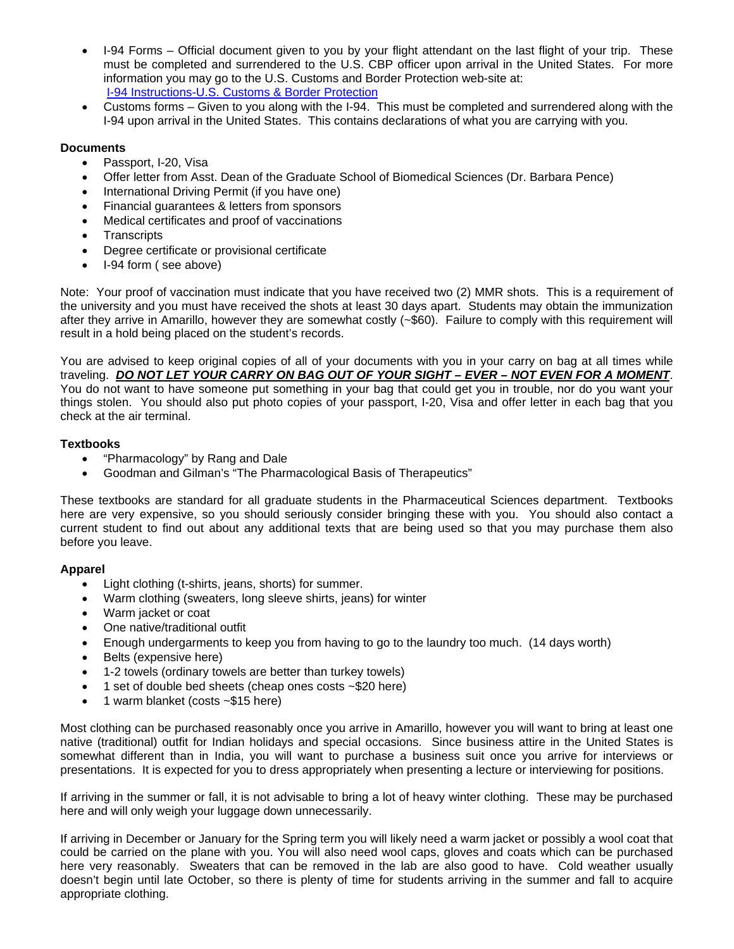- I-94 Forms Official document given to you by your flight attendant on the last flight of your trip. These must be completed and surrendered to the U.S. CBP officer upon arrival in the United States. For more information you may go to the U.S. Customs and Border Protection web-site at: [I-94 Instructions-U.S. Customs & Border Protection](http://www.cbp.gov/xp/cgov/travel/id_visa/i-94_instructions/filling_out_i94.xml)
- Customs forms Given to you along with the I-94. This must be completed and surrendered along with the I-94 upon arrival in the United States. This contains declarations of what you are carrying with you.

# **Documents**

- Passport, I-20, Visa
- Offer letter from Asst. Dean of the Graduate School of Biomedical Sciences (Dr. Barbara Pence)
- International Driving Permit (if you have one)
- Financial guarantees & letters from sponsors
- Medical certificates and proof of vaccinations
- Transcripts
- Degree certificate or provisional certificate
- I-94 form ( see above)

Note: Your proof of vaccination must indicate that you have received two (2) MMR shots. This is a requirement of the university and you must have received the shots at least 30 days apart. Students may obtain the immunization after they arrive in Amarillo, however they are somewhat costly (~\$60). Failure to comply with this requirement will result in a hold being placed on the student's records.

You are advised to keep original copies of all of your documents with you in your carry on bag at all times while traveling. *DO NOT LET YOUR CARRY ON BAG OUT OF YOUR SIGHT – EVER – NOT EVEN FOR A MOMENT*. You do not want to have someone put something in your bag that could get you in trouble, nor do you want your things stolen. You should also put photo copies of your passport, I-20, Visa and offer letter in each bag that you check at the air terminal.

# **Textbooks**

- "Pharmacology" by Rang and Dale
- Goodman and Gilman's "The Pharmacological Basis of Therapeutics"

These textbooks are standard for all graduate students in the Pharmaceutical Sciences department. Textbooks here are very expensive, so you should seriously consider bringing these with you. You should also contact a current student to find out about any additional texts that are being used so that you may purchase them also before you leave.

# **Apparel**

- Light clothing (t-shirts, jeans, shorts) for summer.
- Warm clothing (sweaters, long sleeve shirts, jeans) for winter
- Warm jacket or coat
- One native/traditional outfit
- Enough undergarments to keep you from having to go to the laundry too much. (14 days worth)
- Belts (expensive here)
- 1-2 towels (ordinary towels are better than turkey towels)
- 1 set of double bed sheets (cheap ones costs ~\$20 here)
- 1 warm blanket (costs ~\$15 here)

Most clothing can be purchased reasonably once you arrive in Amarillo, however you will want to bring at least one native (traditional) outfit for Indian holidays and special occasions. Since business attire in the United States is somewhat different than in India, you will want to purchase a business suit once you arrive for interviews or presentations. It is expected for you to dress appropriately when presenting a lecture or interviewing for positions.

If arriving in the summer or fall, it is not advisable to bring a lot of heavy winter clothing. These may be purchased here and will only weigh your luggage down unnecessarily.

If arriving in December or January for the Spring term you will likely need a warm jacket or possibly a wool coat that could be carried on the plane with you. You will also need wool caps, gloves and coats which can be purchased here very reasonably. Sweaters that can be removed in the lab are also good to have. Cold weather usually doesn't begin until late October, so there is plenty of time for students arriving in the summer and fall to acquire appropriate clothing.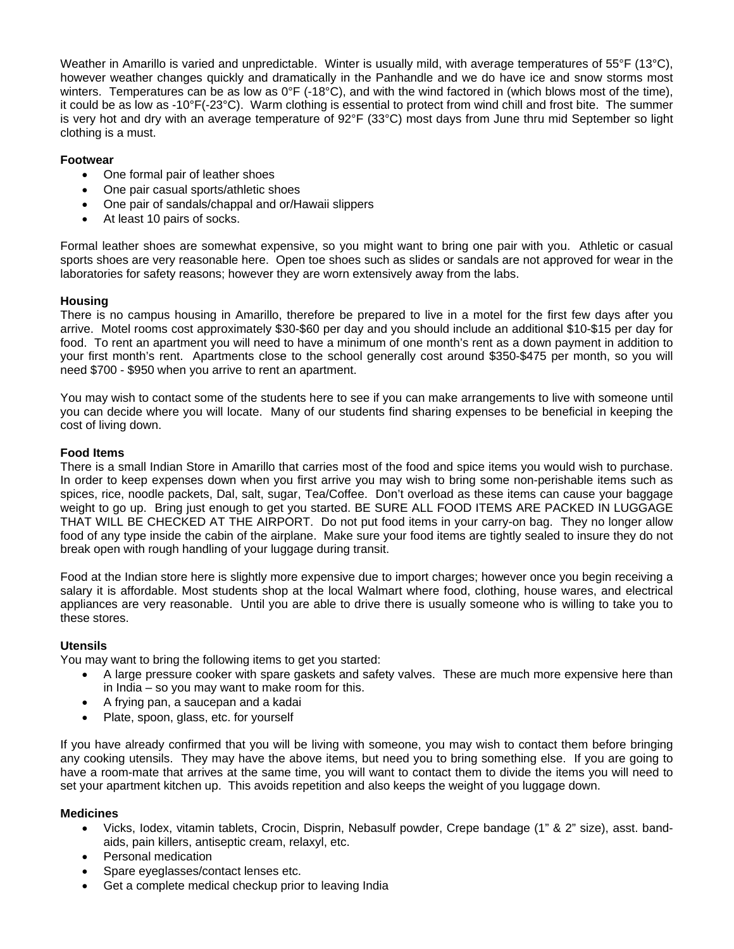Weather in Amarillo is varied and unpredictable. Winter is usually mild, with average temperatures of 55°F (13°C), however weather changes quickly and dramatically in the Panhandle and we do have ice and snow storms most winters. Temperatures can be as low as  $0^{\circ}F$  (-18 $^{\circ}C$ ), and with the wind factored in (which blows most of the time), it could be as low as -10°F(-23°C). Warm clothing is essential to protect from wind chill and frost bite. The summer is very hot and dry with an average temperature of 92°F (33°C) most days from June thru mid September so light clothing is a must.

### **Footwear**

- One formal pair of leather shoes
- One pair casual sports/athletic shoes
- One pair of sandals/chappal and or/Hawaii slippers
- At least 10 pairs of socks.

Formal leather shoes are somewhat expensive, so you might want to bring one pair with you. Athletic or casual sports shoes are very reasonable here. Open toe shoes such as slides or sandals are not approved for wear in the laboratories for safety reasons; however they are worn extensively away from the labs.

#### **Housing**

There is no campus housing in Amarillo, therefore be prepared to live in a motel for the first few days after you arrive. Motel rooms cost approximately \$30-\$60 per day and you should include an additional \$10-\$15 per day for food. To rent an apartment you will need to have a minimum of one month's rent as a down payment in addition to your first month's rent. Apartments close to the school generally cost around \$350-\$475 per month, so you will need \$700 - \$950 when you arrive to rent an apartment.

You may wish to contact some of the students here to see if you can make arrangements to live with someone until you can decide where you will locate. Many of our students find sharing expenses to be beneficial in keeping the cost of living down.

#### **Food Items**

There is a small Indian Store in Amarillo that carries most of the food and spice items you would wish to purchase. In order to keep expenses down when you first arrive you may wish to bring some non-perishable items such as spices, rice, noodle packets, Dal, salt, sugar, Tea/Coffee. Don't overload as these items can cause your baggage weight to go up. Bring just enough to get you started. BE SURE ALL FOOD ITEMS ARE PACKED IN LUGGAGE THAT WILL BE CHECKED AT THE AIRPORT. Do not put food items in your carry-on bag. They no longer allow food of any type inside the cabin of the airplane. Make sure your food items are tightly sealed to insure they do not break open with rough handling of your luggage during transit.

Food at the Indian store here is slightly more expensive due to import charges; however once you begin receiving a salary it is affordable. Most students shop at the local Walmart where food, clothing, house wares, and electrical appliances are very reasonable. Until you are able to drive there is usually someone who is willing to take you to these stores.

#### **Utensils**

You may want to bring the following items to get you started:

- A large pressure cooker with spare gaskets and safety valves. These are much more expensive here than in India – so you may want to make room for this.
- A frying pan, a saucepan and a kadai
- Plate, spoon, glass, etc. for yourself

If you have already confirmed that you will be living with someone, you may wish to contact them before bringing any cooking utensils. They may have the above items, but need you to bring something else. If you are going to have a room-mate that arrives at the same time, you will want to contact them to divide the items you will need to set your apartment kitchen up. This avoids repetition and also keeps the weight of you luggage down.

#### **Medicines**

- Vicks, Iodex, vitamin tablets, Crocin, Disprin, Nebasulf powder, Crepe bandage (1" & 2" size), asst. bandaids, pain killers, antiseptic cream, relaxyl, etc.
- Personal medication
- Spare eyeglasses/contact lenses etc.
- Get a complete medical checkup prior to leaving India